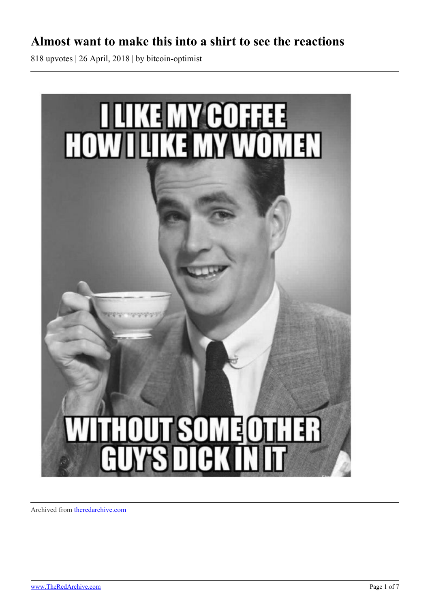## **Almost want to make this into a shirt to see the reactions**

818 upvotes | 26 April, 2018 | by bitcoin-optimist



Archived from [theredarchive.com](https://theredarchive.com/r/MGTOW/almost-want-to-make-this-into-a-shirt-to-see-the.564458)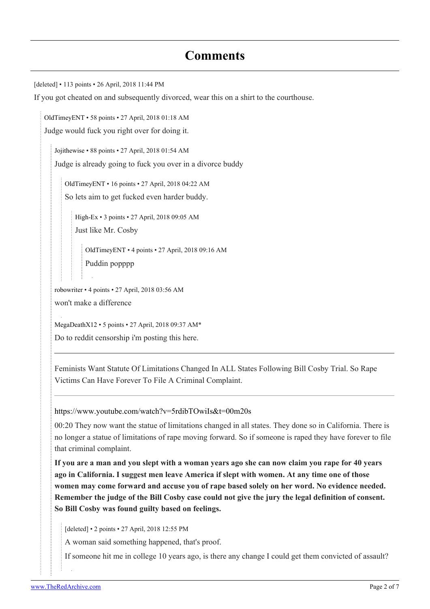## **Comments**

[deleted] • 113 points • 26 April, 2018 11:44 PM

If you got cheated on and subsequently divorced, wear this on a shirt to the courthouse.

[OldTimeyENT](https://old.reddit.com/user/OldTimeyENT) • 58 points • 27 April, 2018 01:18 AM Judge would fuck you right over for doing it.

[Jojithewise](https://old.reddit.com/user/Jojithewise) • 88 points • 27 April, 2018 01:54 AM Judge is already going to fuck you over in a divorce buddy

[OldTimeyENT](https://old.reddit.com/user/OldTimeyENT) • 16 points • 27 April, 2018 04:22 AM So lets aim to get fucked even harder buddy.

[High-Ex](https://old.reddit.com/user/High-Ex) • 3 points • 27 April, 2018 09:05 AM Just like Mr. Cosby

[OldTimeyENT](https://old.reddit.com/user/OldTimeyENT) • 4 points • 27 April, 2018 09:16 AM Puddin popppp

[robowriter](https://old.reddit.com/user/robowriter) • 4 points • 27 April, 2018 03:56 AM won't make a difference

[MegaDeathX12](https://old.reddit.com/user/MegaDeathX12) • 5 points • 27 April, 2018 09:37 AM\* Do to reddit censorship i'm posting this here.

Feminists Want Statute Of Limitations Changed In ALL States Following Bill Cosby Trial. So Rape Victims Can Have Forever To File A Criminal Complaint.

<https://www.youtube.com/watch?v=5rdibTOwiIs&t=00m20s>

00:20 They now want the statue of limitations changed in all states. They done so in California. There is no longer a statue of limitations of rape moving forward. So if someone is raped they have forever to file that criminal complaint.

**If you are a man and you slept with a woman years ago she can now claim you rape for 40 years ago in California. I suggest men leave America if slept with women. At any time one of those women may come forward and accuse you of rape based solely on her word. No evidence needed. Remember the judge of the Bill Cosby case could not give the jury the legal definition of consent. So Bill Cosby was found guilty based on feelings.**

[deleted] • 2 points • 27 April, 2018 12:55 PM

A woman said something happened, that's proof.

If someone hit me in college 10 years ago, is there any change I could get them convicted of assault?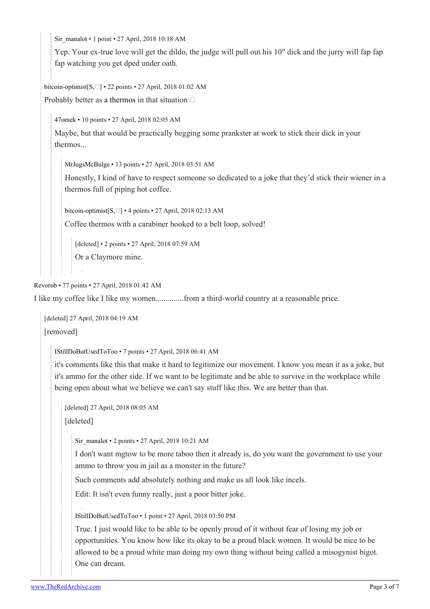[Sir\\_manalot](https://old.reddit.com/user/Sir_manalot) • 1 point • 27 April, 2018 10:18 AM

Yep. Your ex-true love will get the dildo, the judge will pull out his 10" dick and the jurry will fap fap fap watching you get dped under oath.

[bitcoin-optimist](https://old.reddit.com/user/bitcoin-optimist)[\[S,](https://theredarchive.com/r/MGTOW/comments/8f68xk/almost_want_to_make_this_into_a_shirt_to_see_the/)] • 22 points • 27 April, 2018 01:02 AM

Probably better as [a thermos](https://www.cafepress.com/cp/customize/product2.aspx?from=CustomDesigner&number=266771574) in that situation  $\Box$ 

[47omek](https://old.reddit.com/user/47omek) • 10 points • 27 April, 2018 02:05 AM

Maybe, but that would be practically begging some prankster at work to stick their dick in your thermos...

[MrJugsMcBulge](https://old.reddit.com/user/MrJugsMcBulge) • 13 points • 27 April, 2018 03:51 AM

Honestly, I kind of have to respect someone so dedicated to a joke that they'd stick their wiener in a thermos full of piping hot coffee.

bitcoin-optimist $[S, \Box]$  $[S, \Box]$  $[S, \Box]$  • 4 points • 27 April, 2018 02:13 AM

Coffee thermos with a carabiner hooked to a belt loop, solved!

[deleted] • 2 points • 27 April, 2018 07:59 AM

Or a Claymore mine.

[Revorob](https://old.reddit.com/user/Revorob) • 77 points • 27 April, 2018 01:42 AM

I like my coffee like I like my women..............from a third-world country at a reasonable price.

[deleted] 27 April, 2018 04:19 AM

[removed]

[IStillDoButUsedToToo](https://old.reddit.com/user/IStillDoButUsedToToo) • 7 points • 27 April, 2018 06:41 AM

it's comments like this that make it hard to legitimize our movement. I know you mean it as a joke, but it's ammo for the other side. If we want to be legitimate and be able to survive in the workplace while being open about what we believe we can't say stuff like this. We are better than that.

[deleted] 27 April, 2018 08:05 AM

[deleted]

[Sir\\_manalot](https://old.reddit.com/user/Sir_manalot) • 2 points • 27 April, 2018 10:21 AM

I don't want mgtow to be more taboo then it already is, do you want the government to use your ammo to throw you in jail as a monster in the future?

Such comments add absolutely nothing and make us all look like incels.

Edit: It isn't even funny really, just a poor bitter joke.

[IStillDoButUsedToToo](https://old.reddit.com/user/IStillDoButUsedToToo) • 1 point • 27 April, 2018 03:50 PM

True. I just would like to be able to be openly proud of it without fear of losing my job or opportunities. You know how like its okay to be a proud black women. It would be nice to be allowed to be a proud white man doing my own thing without being called a misogynist bigot. One can dream.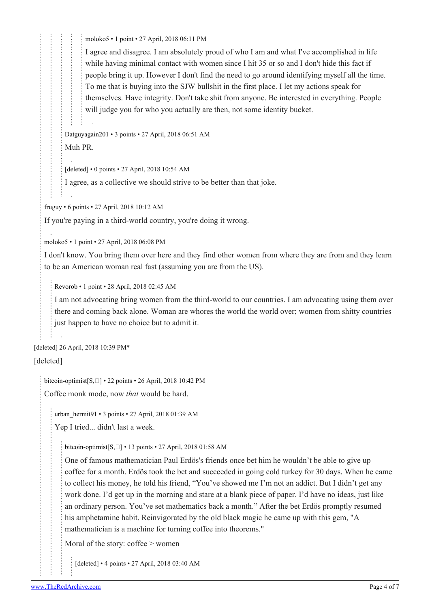[moloko5](https://old.reddit.com/user/moloko5) • 1 point • 27 April, 2018 06:11 PM

I agree and disagree. I am absolutely proud of who I am and what I've accomplished in life while having minimal contact with women since I hit 35 or so and I don't hide this fact if people bring it up. However I don't find the need to go around identifying myself all the time. To me that is buying into the SJW bullshit in the first place. I let my actions speak for themselves. Have integrity. Don't take shit from anyone. Be interested in everything. People will judge you for who you actually are then, not some identity bucket.

[Datguyagain201](https://old.reddit.com/user/Datguyagain201) • 3 points • 27 April, 2018 06:51 AM Muh PR.

[deleted] • 0 points • 27 April, 2018 10:54 AM

I agree, as a collective we should strive to be better than that joke.

[fruguy](https://old.reddit.com/user/fruguy) • 6 points • 27 April, 2018 10:12 AM

If you're paying in a third-world country, you're doing it wrong.

[moloko5](https://old.reddit.com/user/moloko5) • 1 point • 27 April, 2018 06:08 PM

I don't know. You bring them over here and they find other women from where they are from and they learn to be an American woman real fast (assuming you are from the US).

[Revorob](https://old.reddit.com/user/Revorob) • 1 point • 28 April, 2018 02:45 AM

I am not advocating bring women from the third-world to our countries. I am advocating using them over there and coming back alone. Woman are whores the world the world over; women from shitty countries just happen to have no choice but to admit it.

[deleted] 26 April, 2018 10:39 PM\*

[deleted]

[bitcoin-optimist](https://old.reddit.com/user/bitcoin-optimist) $[S, \Box]$  $[S, \Box]$  • 22 points • 26 April, 2018 10:42 PM

Coffee monk mode, now *that* would be hard.

[urban\\_hermit91](https://old.reddit.com/user/urban_hermit91) • 3 points • 27 April, 2018 01:39 AM

Yep I tried... didn't last a week.

[bitcoin-optimist\[](https://old.reddit.com/user/bitcoin-optimist)[S](https://theredarchive.com/r/MGTOW/comments/8f68xk/almost_want_to_make_this_into_a_shirt_to_see_the/)[,\]](https://theredarchive.com/user/bitcoin-optimist) • 13 points • 27 April, 2018 01:58 AM

One of famous mathematician Paul Erdös's friends once bet him he wouldn't be able to give up coffee for a month. Erdös took the bet and succeeded in going cold turkey for 30 days. When he came to collect his money, he told his friend, "You've showed me I'm not an addict. But I didn't get any work done. I'd get up in the morning and stare at a blank piece of paper. I'd have no ideas, just like an ordinary person. You've set mathematics back a month." After the bet Erdös promptly resumed his amphetamine habit. Reinvigorated by the old black magic he came up with this gem, "A mathematician is a machine for turning coffee into theorems."

Moral of the story: coffee > women

[deleted] • 4 points • 27 April, 2018 03:40 AM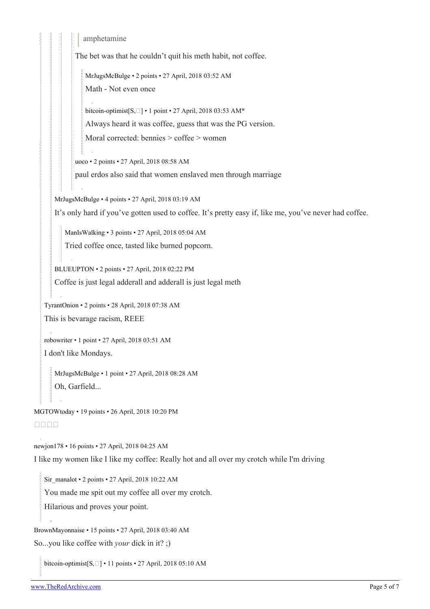```
amphetamine
          The bet was that he couldn't quit his meth habit, not coffee.
             MrJugsMcBulge • 2 points • 27 April, 2018 03:52 AM
             Math - Not even once
             bitcoin-optimist[S, \Box] \cdot 1 point \cdot 27 April, 2018 03:53 AM*
             Always heard it was coffee, guess that was the PG version.
             Moral corrected: bennies > coffee > women
          uoco • 2 points • 27 April, 2018 08:58 AM
          paul erdos also said that women enslaved men through marriage
   MrJugsMcBulge • 4 points • 27 April, 2018 03:19 AM
   It's only hard if you've gotten used to coffee. It's pretty easy if, like me, you've never had coffee.
      ManIsWalking • 3 points • 27 April, 2018 05:04 AM
      Tried coffee once, tasted like burned popcorn.
   BLUEUPTON • 2 points • 27 April, 2018 02:22 PM
   Coffee is just legal adderall and adderall is just legal meth
TyrantOnion • 2 points • 28 April, 2018 07:38 AM
This is bevarage racism, REEE
robowriter • 1 point • 27 April, 2018 03:51 AM
I don't like Mondays.
   MrJugsMcBulge • 1 point • 27 April, 2018 08:28 AM
   Oh, Garfield...
```
[MGTOWtoday](https://old.reddit.com/user/MGTOWtoday) • 19 points • 26 April, 2018 10:20 PM

## nnnn

[newjon178](https://old.reddit.com/user/newjon178) • 16 points • 27 April, 2018 04:25 AM

I like my women like I like my coffee: Really hot and all over my crotch while I'm driving

[Sir\\_manalot](https://old.reddit.com/user/Sir_manalot) • 2 points • 27 April, 2018 10:22 AM

You made me spit out my coffee all over my crotch.

Hilarious and proves your point.

[BrownMayonnaise](https://old.reddit.com/user/BrownMayonnaise) • 15 points • 27 April, 2018 03:40 AM

So...you like coffee with *your* dick in it? ;)

[bitcoin-optimist](https://old.reddit.com/user/bitcoin-optimist)[\[S,](https://theredarchive.com/r/MGTOW/comments/8f68xk/almost_want_to_make_this_into_a_shirt_to_see_the/) [] • 11 points • 27 April, 2018 05:10 AM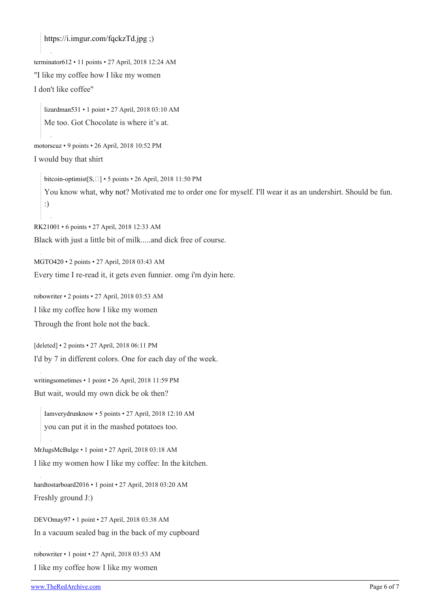<https://i.imgur.com/fqckzTd.jpg>;)

[terminator612](https://old.reddit.com/user/terminator612) • 11 points • 27 April, 2018 12:24 AM

"I like my coffee how I like my women

I don't like coffee"

[lizardman531](https://old.reddit.com/user/lizardman531) • 1 point • 27 April, 2018 03:10 AM Me too. Got Chocolate is where it's at.

[motorscuz](https://old.reddit.com/user/motorscuz) • 9 points • 26 April, 2018 10:52 PM

I would buy that shirt

[bitcoin-optimist](https://old.reddit.com/user/bitcoin-optimist)[\[S,](https://theredarchive.com/r/MGTOW/comments/8f68xk/almost_want_to_make_this_into_a_shirt_to_see_the/)  $\square$ ] • 5 points • 26 April, 2018 11:50 PM You know what, [why not?](https://www.cafepress.com/cp/customize/product2.aspx?from=CustomDesigner&number=266744174) Motivated me to order one for myself. I'll wear it as an undershirt. Should be fun. :)

[RK21001](https://old.reddit.com/user/RK21001) • 6 points • 27 April, 2018 12:33 AM

Black with just a little bit of milk.....and dick free of course.

[MGTO420](https://old.reddit.com/user/MGTO420) • 2 points • 27 April, 2018 03:43 AM Every time I re-read it, it gets even funnier. omg i'm dyin here.

[robowriter](https://old.reddit.com/user/robowriter) • 2 points • 27 April, 2018 03:53 AM I like my coffee how I like my women Through the front hole not the back.

[deleted] • 2 points • 27 April, 2018 06:11 PM I'd by 7 in different colors. One for each day of the week.

[writingsometimes](https://old.reddit.com/user/writingsometimes) • 1 point • 26 April, 2018 11:59 PM But wait, would my own dick be ok then?

[Iamverydrunknow](https://old.reddit.com/user/Iamverydrunknow) • 5 points • 27 April, 2018 12:10 AM you can put it in the mashed potatoes too.

[MrJugsMcBulge](https://old.reddit.com/user/MrJugsMcBulge) • 1 point • 27 April, 2018 03:18 AM I like my women how I like my coffee: In the kitchen.

[hardtostarboard2016](https://old.reddit.com/user/hardtostarboard2016) • 1 point • 27 April, 2018 03:20 AM Freshly ground J:)

[DEVOmay97](https://old.reddit.com/user/DEVOmay97) • 1 point • 27 April, 2018 03:38 AM In a vacuum sealed bag in the back of my cupboard

[robowriter](https://old.reddit.com/user/robowriter) • 1 point • 27 April, 2018 03:53 AM

I like my coffee how I like my women